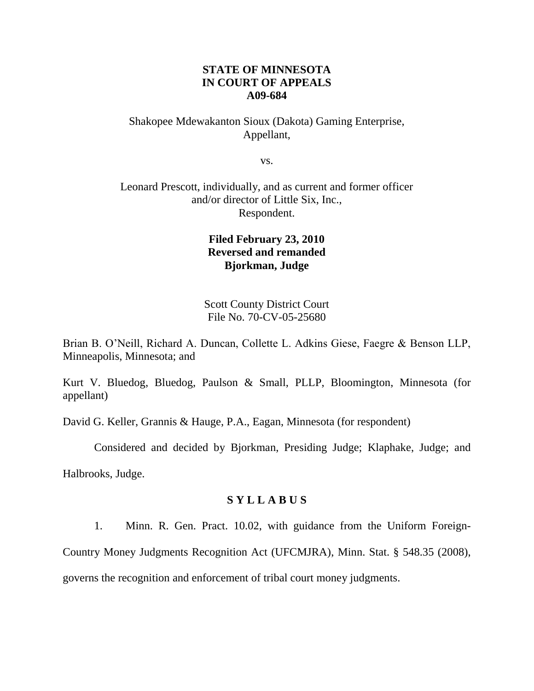# **STATE OF MINNESOTA IN COURT OF APPEALS A09-684**

# Shakopee Mdewakanton Sioux (Dakota) Gaming Enterprise, Appellant,

vs.

# Leonard Prescott, individually, and as current and former officer and/or director of Little Six, Inc., Respondent.

# **Filed February 23, 2010 Reversed and remanded Bjorkman, Judge**

Scott County District Court File No. 70-CV-05-25680

Brian B. O"Neill, Richard A. Duncan, Collette L. Adkins Giese, Faegre & Benson LLP, Minneapolis, Minnesota; and

Kurt V. Bluedog, Bluedog, Paulson & Small, PLLP, Bloomington, Minnesota (for appellant)

David G. Keller, Grannis & Hauge, P.A., Eagan, Minnesota (for respondent)

Considered and decided by Bjorkman, Presiding Judge; Klaphake, Judge; and

Halbrooks, Judge.

# **S Y L L A B U S**

1. Minn. R. Gen. Pract. 10.02, with guidance from the Uniform Foreign-

Country Money Judgments Recognition Act (UFCMJRA), Minn. Stat. § 548.35 (2008),

governs the recognition and enforcement of tribal court money judgments.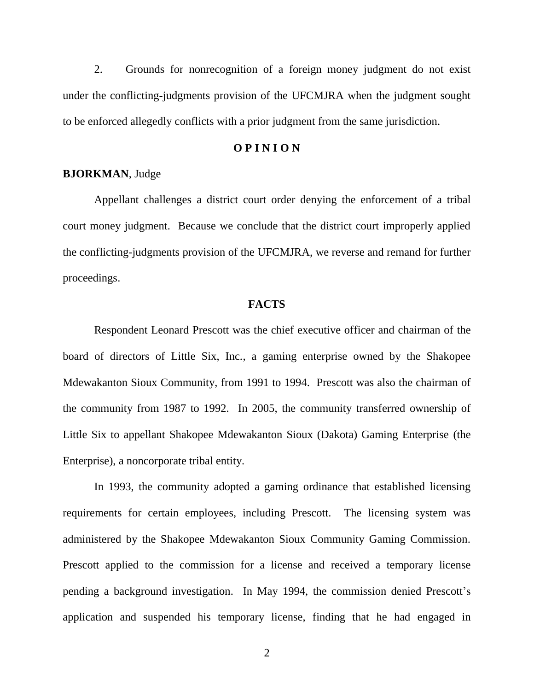2. Grounds for nonrecognition of a foreign money judgment do not exist under the conflicting-judgments provision of the UFCMJRA when the judgment sought to be enforced allegedly conflicts with a prior judgment from the same jurisdiction.

### **O P I N I O N**

### **BJORKMAN**, Judge

Appellant challenges a district court order denying the enforcement of a tribal court money judgment. Because we conclude that the district court improperly applied the conflicting-judgments provision of the UFCMJRA, we reverse and remand for further proceedings.

#### **FACTS**

Respondent Leonard Prescott was the chief executive officer and chairman of the board of directors of Little Six, Inc., a gaming enterprise owned by the Shakopee Mdewakanton Sioux Community, from 1991 to 1994. Prescott was also the chairman of the community from 1987 to 1992. In 2005, the community transferred ownership of Little Six to appellant Shakopee Mdewakanton Sioux (Dakota) Gaming Enterprise (the Enterprise), a noncorporate tribal entity.

In 1993, the community adopted a gaming ordinance that established licensing requirements for certain employees, including Prescott. The licensing system was administered by the Shakopee Mdewakanton Sioux Community Gaming Commission. Prescott applied to the commission for a license and received a temporary license pending a background investigation. In May 1994, the commission denied Prescott"s application and suspended his temporary license, finding that he had engaged in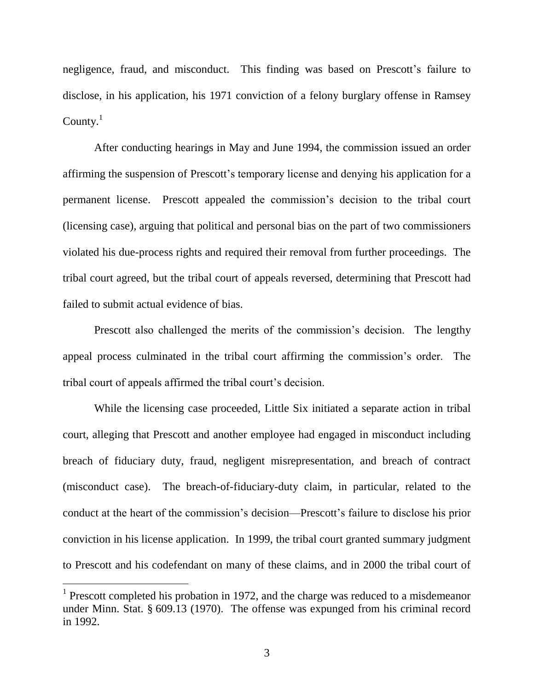negligence, fraud, and misconduct. This finding was based on Prescott's failure to disclose, in his application, his 1971 conviction of a felony burglary offense in Ramsey County. $1$ 

After conducting hearings in May and June 1994, the commission issued an order affirming the suspension of Prescott"s temporary license and denying his application for a permanent license. Prescott appealed the commission"s decision to the tribal court (licensing case), arguing that political and personal bias on the part of two commissioners violated his due-process rights and required their removal from further proceedings. The tribal court agreed, but the tribal court of appeals reversed, determining that Prescott had failed to submit actual evidence of bias.

Prescott also challenged the merits of the commission"s decision. The lengthy appeal process culminated in the tribal court affirming the commission's order. The tribal court of appeals affirmed the tribal court"s decision.

While the licensing case proceeded, Little Six initiated a separate action in tribal court, alleging that Prescott and another employee had engaged in misconduct including breach of fiduciary duty, fraud, negligent misrepresentation, and breach of contract (misconduct case). The breach-of-fiduciary-duty claim, in particular, related to the conduct at the heart of the commission"s decision—Prescott"s failure to disclose his prior conviction in his license application. In 1999, the tribal court granted summary judgment to Prescott and his codefendant on many of these claims, and in 2000 the tribal court of

<sup>&</sup>lt;sup>1</sup> Prescott completed his probation in 1972, and the charge was reduced to a misdemeanor under Minn. Stat. § 609.13 (1970). The offense was expunged from his criminal record in 1992.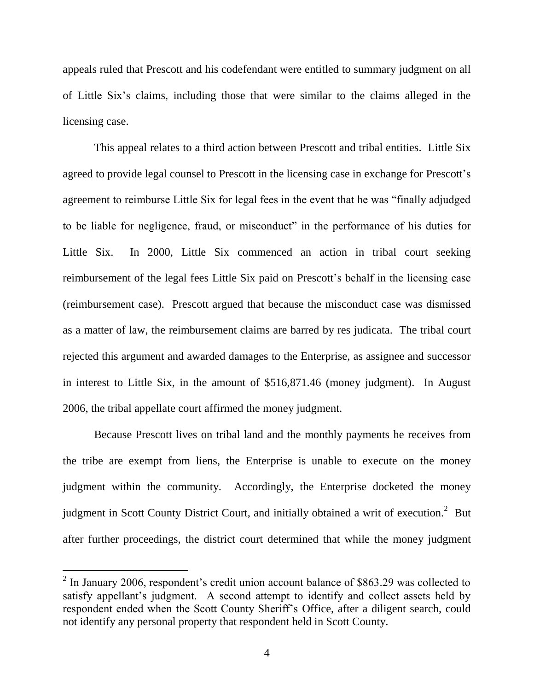appeals ruled that Prescott and his codefendant were entitled to summary judgment on all of Little Six"s claims, including those that were similar to the claims alleged in the licensing case.

This appeal relates to a third action between Prescott and tribal entities. Little Six agreed to provide legal counsel to Prescott in the licensing case in exchange for Prescott's agreement to reimburse Little Six for legal fees in the event that he was "finally adjudged to be liable for negligence, fraud, or misconduct" in the performance of his duties for Little Six. In 2000, Little Six commenced an action in tribal court seeking reimbursement of the legal fees Little Six paid on Prescott's behalf in the licensing case (reimbursement case). Prescott argued that because the misconduct case was dismissed as a matter of law, the reimbursement claims are barred by res judicata. The tribal court rejected this argument and awarded damages to the Enterprise, as assignee and successor in interest to Little Six, in the amount of \$516,871.46 (money judgment). In August 2006, the tribal appellate court affirmed the money judgment.

Because Prescott lives on tribal land and the monthly payments he receives from the tribe are exempt from liens, the Enterprise is unable to execute on the money judgment within the community. Accordingly, the Enterprise docketed the money judgment in Scott County District Court, and initially obtained a writ of execution.<sup>2</sup> But after further proceedings, the district court determined that while the money judgment

 $2$  In January 2006, respondent's credit union account balance of \$863.29 was collected to satisfy appellant's judgment. A second attempt to identify and collect assets held by respondent ended when the Scott County Sheriff"s Office, after a diligent search, could not identify any personal property that respondent held in Scott County.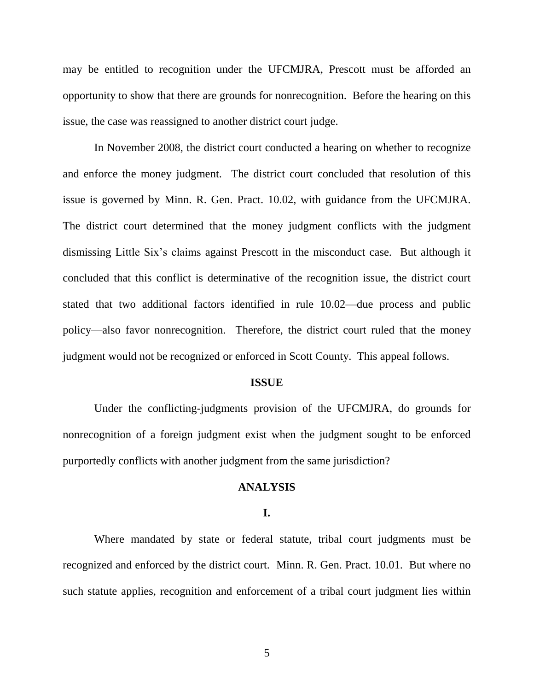may be entitled to recognition under the UFCMJRA, Prescott must be afforded an opportunity to show that there are grounds for nonrecognition. Before the hearing on this issue, the case was reassigned to another district court judge.

In November 2008, the district court conducted a hearing on whether to recognize and enforce the money judgment. The district court concluded that resolution of this issue is governed by Minn. R. Gen. Pract. 10.02, with guidance from the UFCMJRA. The district court determined that the money judgment conflicts with the judgment dismissing Little Six"s claims against Prescott in the misconduct case. But although it concluded that this conflict is determinative of the recognition issue, the district court stated that two additional factors identified in rule 10.02—due process and public policy—also favor nonrecognition. Therefore, the district court ruled that the money judgment would not be recognized or enforced in Scott County. This appeal follows.

### **ISSUE**

Under the conflicting-judgments provision of the UFCMJRA, do grounds for nonrecognition of a foreign judgment exist when the judgment sought to be enforced purportedly conflicts with another judgment from the same jurisdiction?

### **ANALYSIS**

#### **I.**

Where mandated by state or federal statute, tribal court judgments must be recognized and enforced by the district court. Minn. R. Gen. Pract. 10.01. But where no such statute applies, recognition and enforcement of a tribal court judgment lies within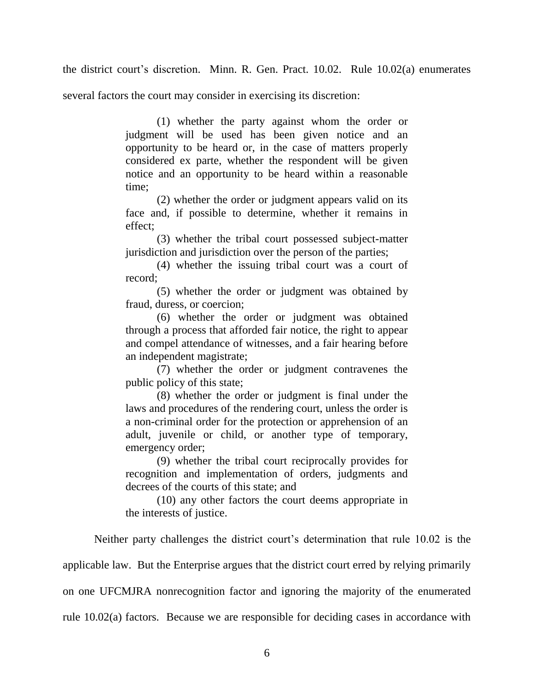the district court's discretion. Minn. R. Gen. Pract. 10.02. Rule 10.02(a) enumerates

several factors the court may consider in exercising its discretion:

(1) whether the party against whom the order or judgment will be used has been given notice and an opportunity to be heard or, in the case of matters properly considered ex parte, whether the respondent will be given notice and an opportunity to be heard within a reasonable time;

(2) whether the order or judgment appears valid on its face and, if possible to determine, whether it remains in effect;

(3) whether the tribal court possessed subject-matter jurisdiction and jurisdiction over the person of the parties;

(4) whether the issuing tribal court was a court of record;

(5) whether the order or judgment was obtained by fraud, duress, or coercion;

(6) whether the order or judgment was obtained through a process that afforded fair notice, the right to appear and compel attendance of witnesses, and a fair hearing before an independent magistrate;

(7) whether the order or judgment contravenes the public policy of this state;

(8) whether the order or judgment is final under the laws and procedures of the rendering court, unless the order is a non-criminal order for the protection or apprehension of an adult, juvenile or child, or another type of temporary, emergency order;

(9) whether the tribal court reciprocally provides for recognition and implementation of orders, judgments and decrees of the courts of this state; and

(10) any other factors the court deems appropriate in the interests of justice.

Neither party challenges the district court"s determination that rule 10.02 is the

applicable law. But the Enterprise argues that the district court erred by relying primarily

on one UFCMJRA nonrecognition factor and ignoring the majority of the enumerated

rule 10.02(a) factors. Because we are responsible for deciding cases in accordance with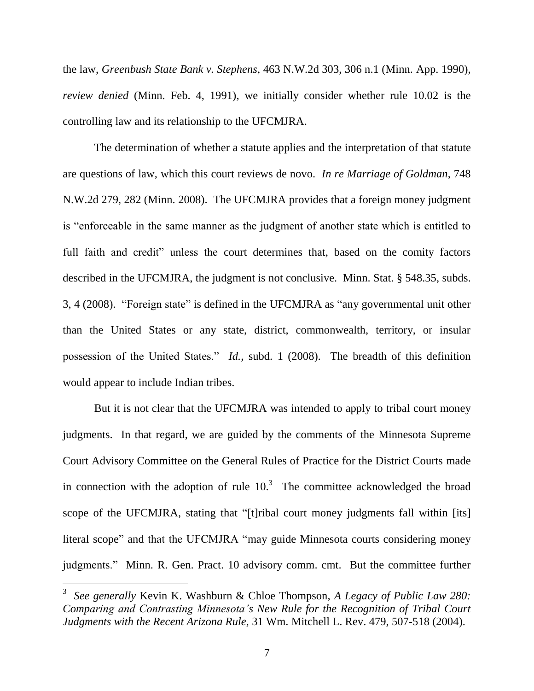the law, *Greenbush State Bank v. Stephens*, 463 N.W.2d 303, 306 n.1 (Minn. App. 1990), *review denied* (Minn. Feb. 4, 1991), we initially consider whether rule 10.02 is the controlling law and its relationship to the UFCMJRA.

The determination of whether a statute applies and the interpretation of that statute are questions of law, which this court reviews de novo. *In re Marriage of Goldman*, 748 N.W.2d 279, 282 (Minn. 2008). The UFCMJRA provides that a foreign money judgment is "enforceable in the same manner as the judgment of another state which is entitled to full faith and credit" unless the court determines that, based on the comity factors described in the UFCMJRA, the judgment is not conclusive. Minn. Stat. § 548.35, subds. 3, 4 (2008). "Foreign state" is defined in the UFCMJRA as "any governmental unit other than the United States or any state, district, commonwealth, territory, or insular possession of the United States." *Id.,* subd. 1 (2008). The breadth of this definition would appear to include Indian tribes.

But it is not clear that the UFCMJRA was intended to apply to tribal court money judgments. In that regard, we are guided by the comments of the Minnesota Supreme Court Advisory Committee on the General Rules of Practice for the District Courts made in connection with the adoption of rule  $10<sup>3</sup>$ . The committee acknowledged the broad scope of the UFCMJRA, stating that "[t]ribal court money judgments fall within [its] literal scope" and that the UFCMJRA "may guide Minnesota courts considering money judgments." Minn. R. Gen. Pract. 10 advisory comm. cmt. But the committee further

<sup>3</sup> *See generally* Kevin K. Washburn & Chloe Thompson, *A Legacy of Public Law 280: Comparing and Contrasting Minnesota's New Rule for the Recognition of Tribal Court Judgments with the Recent Arizona Rule*, 31 Wm. Mitchell L. Rev. 479, 507-518 (2004).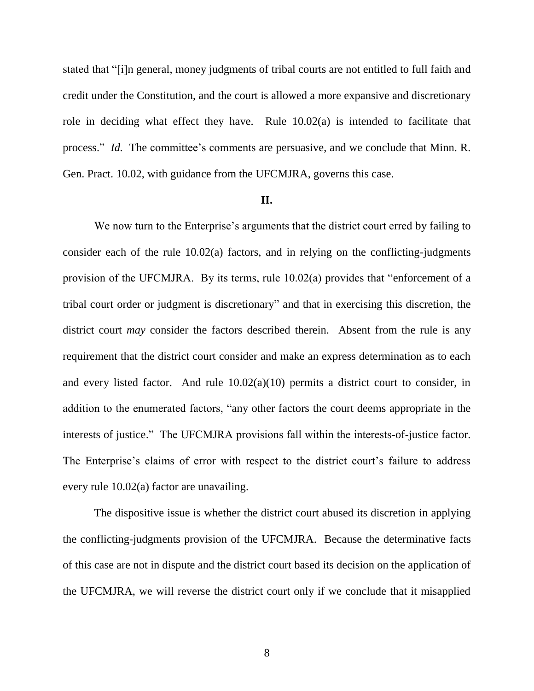stated that "[i]n general, money judgments of tribal courts are not entitled to full faith and credit under the Constitution, and the court is allowed a more expansive and discretionary role in deciding what effect they have. Rule 10.02(a) is intended to facilitate that process." *Id.* The committee's comments are persuasive, and we conclude that Minn. R. Gen. Pract. 10.02, with guidance from the UFCMJRA, governs this case.

### **II.**

We now turn to the Enterprise's arguments that the district court erred by failing to consider each of the rule 10.02(a) factors, and in relying on the conflicting-judgments provision of the UFCMJRA. By its terms, rule 10.02(a) provides that "enforcement of a tribal court order or judgment is discretionary" and that in exercising this discretion, the district court *may* consider the factors described therein. Absent from the rule is any requirement that the district court consider and make an express determination as to each and every listed factor. And rule 10.02(a)(10) permits a district court to consider, in addition to the enumerated factors, "any other factors the court deems appropriate in the interests of justice." The UFCMJRA provisions fall within the interests-of-justice factor. The Enterprise's claims of error with respect to the district court's failure to address every rule 10.02(a) factor are unavailing.

The dispositive issue is whether the district court abused its discretion in applying the conflicting-judgments provision of the UFCMJRA. Because the determinative facts of this case are not in dispute and the district court based its decision on the application of the UFCMJRA, we will reverse the district court only if we conclude that it misapplied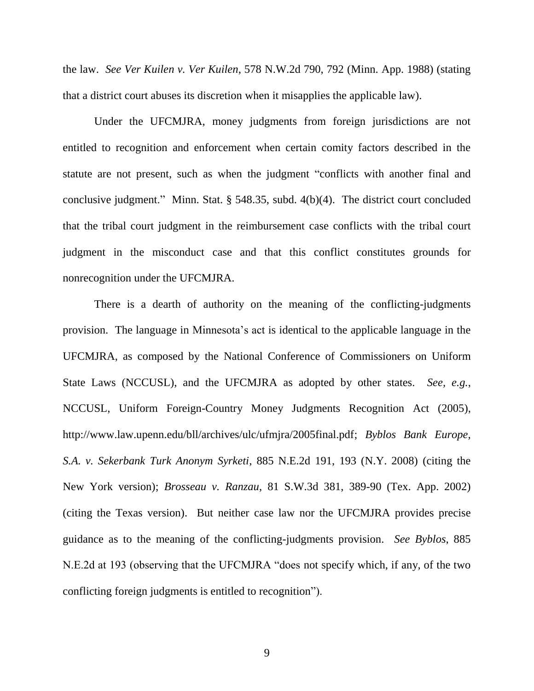the law. *See Ver Kuilen v. Ver Kuilen*, 578 N.W.2d 790, 792 (Minn. App. 1988) (stating that a district court abuses its discretion when it misapplies the applicable law).

Under the UFCMJRA, money judgments from foreign jurisdictions are not entitled to recognition and enforcement when certain comity factors described in the statute are not present, such as when the judgment "conflicts with another final and conclusive judgment." Minn. Stat. § 548.35, subd. 4(b)(4). The district court concluded that the tribal court judgment in the reimbursement case conflicts with the tribal court judgment in the misconduct case and that this conflict constitutes grounds for nonrecognition under the UFCMJRA.

There is a dearth of authority on the meaning of the conflicting-judgments provision. The language in Minnesota"s act is identical to the applicable language in the UFCMJRA, as composed by the National Conference of Commissioners on Uniform State Laws (NCCUSL), and the UFCMJRA as adopted by other states. *See, e.g.*, NCCUSL, Uniform Foreign-Country Money Judgments Recognition Act (2005), http://www.law.upenn.edu/bll/archives/ulc/ufmjra/2005final.pdf; *Byblos Bank Europe, S.A. v. Sekerbank Turk Anonym Syrketi*, 885 N.E.2d 191, 193 (N.Y. 2008) (citing the New York version); *Brosseau v. Ranzau*, 81 S.W.3d 381, 389-90 (Tex. App. 2002) (citing the Texas version). But neither case law nor the UFCMJRA provides precise guidance as to the meaning of the conflicting-judgments provision. *See Byblos*, 885 N.E.2d at 193 (observing that the UFCMJRA "does not specify which, if any, of the two conflicting foreign judgments is entitled to recognition").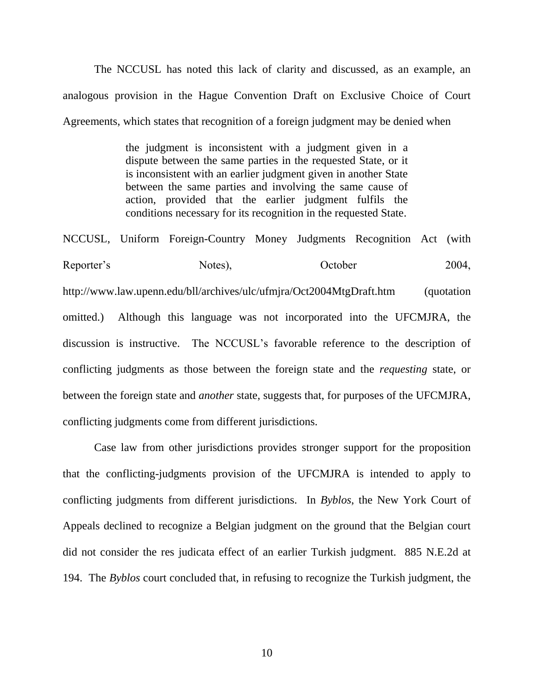The NCCUSL has noted this lack of clarity and discussed, as an example, an analogous provision in the Hague Convention Draft on Exclusive Choice of Court Agreements, which states that recognition of a foreign judgment may be denied when

> the judgment is inconsistent with a judgment given in a dispute between the same parties in the requested State, or it is inconsistent with an earlier judgment given in another State between the same parties and involving the same cause of action, provided that the earlier judgment fulfils the conditions necessary for its recognition in the requested State.

NCCUSL, Uniform Foreign-Country Money Judgments Recognition Act (with Reporter's Notes), October 2004, http://www.law.upenn.edu/bll/archives/ulc/ufmjra/Oct2004MtgDraft.htm (quotation omitted.) Although this language was not incorporated into the UFCMJRA, the discussion is instructive. The NCCUSL"s favorable reference to the description of conflicting judgments as those between the foreign state and the *requesting* state, or between the foreign state and *another* state, suggests that, for purposes of the UFCMJRA, conflicting judgments come from different jurisdictions.

Case law from other jurisdictions provides stronger support for the proposition that the conflicting-judgments provision of the UFCMJRA is intended to apply to conflicting judgments from different jurisdictions. In *Byblos*, the New York Court of Appeals declined to recognize a Belgian judgment on the ground that the Belgian court did not consider the res judicata effect of an earlier Turkish judgment. 885 N.E.2d at 194. The *Byblos* court concluded that, in refusing to recognize the Turkish judgment, the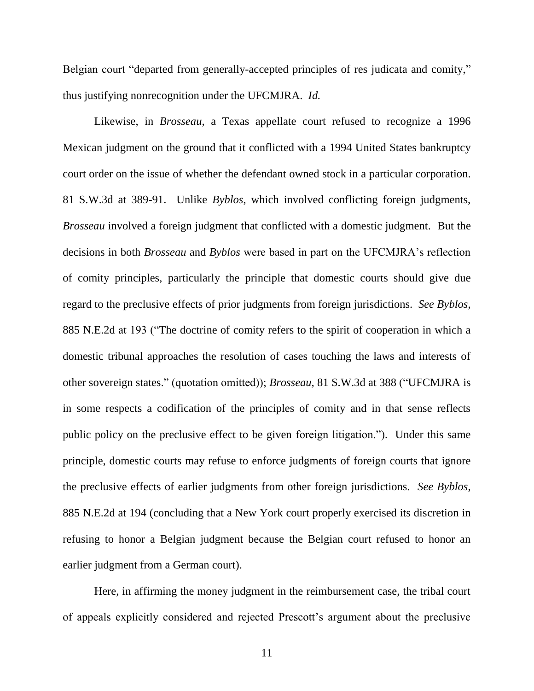Belgian court "departed from generally-accepted principles of res judicata and comity," thus justifying nonrecognition under the UFCMJRA. *Id.*

Likewise, in *Brosseau*, a Texas appellate court refused to recognize a 1996 Mexican judgment on the ground that it conflicted with a 1994 United States bankruptcy court order on the issue of whether the defendant owned stock in a particular corporation. 81 S.W.3d at 389-91. Unlike *Byblos*, which involved conflicting foreign judgments, *Brosseau* involved a foreign judgment that conflicted with a domestic judgment. But the decisions in both *Brosseau* and *Byblos* were based in part on the UFCMJRA"s reflection of comity principles, particularly the principle that domestic courts should give due regard to the preclusive effects of prior judgments from foreign jurisdictions. *See Byblos*, 885 N.E.2d at 193 ("The doctrine of comity refers to the spirit of cooperation in which a domestic tribunal approaches the resolution of cases touching the laws and interests of other sovereign states." (quotation omitted)); *Brosseau,* 81 S.W.3d at 388 ("UFCMJRA is in some respects a codification of the principles of comity and in that sense reflects public policy on the preclusive effect to be given foreign litigation."). Under this same principle, domestic courts may refuse to enforce judgments of foreign courts that ignore the preclusive effects of earlier judgments from other foreign jurisdictions. *See Byblos*, 885 N.E.2d at 194 (concluding that a New York court properly exercised its discretion in refusing to honor a Belgian judgment because the Belgian court refused to honor an earlier judgment from a German court).

Here, in affirming the money judgment in the reimbursement case, the tribal court of appeals explicitly considered and rejected Prescott"s argument about the preclusive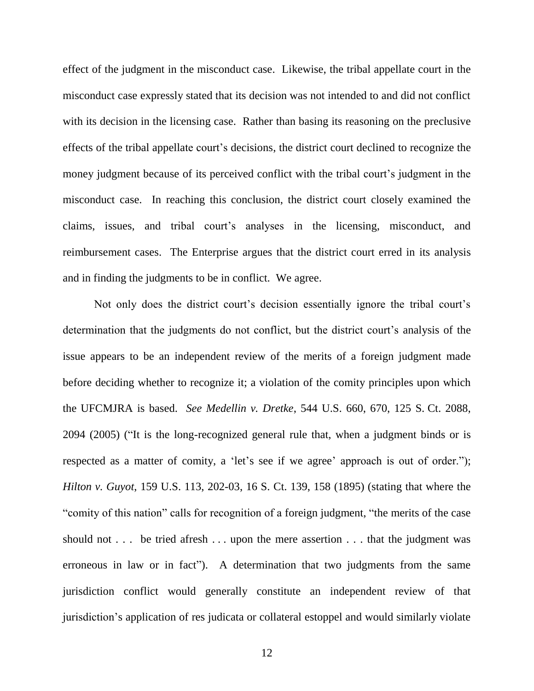effect of the judgment in the misconduct case. Likewise, the tribal appellate court in the misconduct case expressly stated that its decision was not intended to and did not conflict with its decision in the licensing case. Rather than basing its reasoning on the preclusive effects of the tribal appellate court's decisions, the district court declined to recognize the money judgment because of its perceived conflict with the tribal court's judgment in the misconduct case. In reaching this conclusion, the district court closely examined the claims, issues, and tribal court"s analyses in the licensing, misconduct, and reimbursement cases. The Enterprise argues that the district court erred in its analysis and in finding the judgments to be in conflict. We agree.

Not only does the district court's decision essentially ignore the tribal court's determination that the judgments do not conflict, but the district court's analysis of the issue appears to be an independent review of the merits of a foreign judgment made before deciding whether to recognize it; a violation of the comity principles upon which the UFCMJRA is based. *See Medellin v. Dretke*, 544 U.S. 660, 670, 125 S. Ct. 2088, 2094 (2005) ("It is the long-recognized general rule that, when a judgment binds or is respected as a matter of comity, a 'let's see if we agree' approach is out of order."); *Hilton v. Guyot*, 159 U.S. 113, 202-03, 16 S. Ct. 139, 158 (1895) (stating that where the "comity of this nation" calls for recognition of a foreign judgment, "the merits of the case should not . . . be tried afresh . . . upon the mere assertion . . . that the judgment was erroneous in law or in fact"). A determination that two judgments from the same jurisdiction conflict would generally constitute an independent review of that jurisdiction"s application of res judicata or collateral estoppel and would similarly violate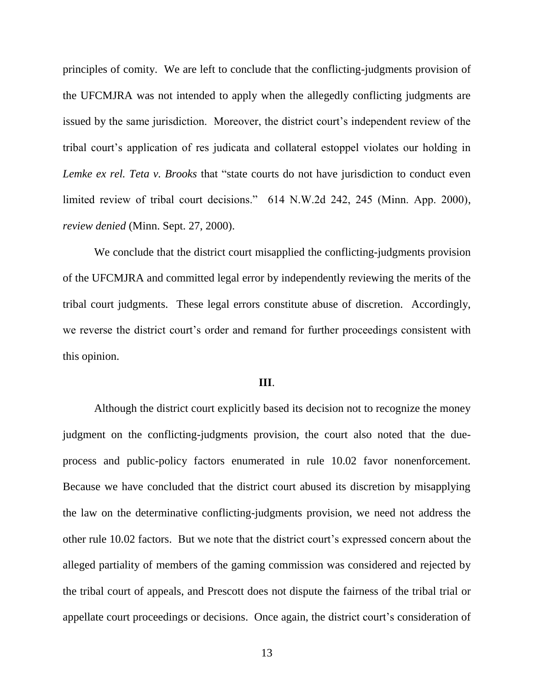principles of comity. We are left to conclude that the conflicting-judgments provision of the UFCMJRA was not intended to apply when the allegedly conflicting judgments are issued by the same jurisdiction. Moreover, the district court's independent review of the tribal court"s application of res judicata and collateral estoppel violates our holding in *Lemke ex rel. Teta v. Brooks* that "state courts do not have jurisdiction to conduct even limited review of tribal court decisions." 614 N.W.2d 242, 245 (Minn. App. 2000), *review denied* (Minn. Sept. 27, 2000).

We conclude that the district court misapplied the conflicting-judgments provision of the UFCMJRA and committed legal error by independently reviewing the merits of the tribal court judgments. These legal errors constitute abuse of discretion. Accordingly, we reverse the district court's order and remand for further proceedings consistent with this opinion.

#### **III**.

Although the district court explicitly based its decision not to recognize the money judgment on the conflicting-judgments provision, the court also noted that the dueprocess and public-policy factors enumerated in rule 10.02 favor nonenforcement. Because we have concluded that the district court abused its discretion by misapplying the law on the determinative conflicting-judgments provision, we need not address the other rule 10.02 factors. But we note that the district court"s expressed concern about the alleged partiality of members of the gaming commission was considered and rejected by the tribal court of appeals, and Prescott does not dispute the fairness of the tribal trial or appellate court proceedings or decisions. Once again, the district court's consideration of